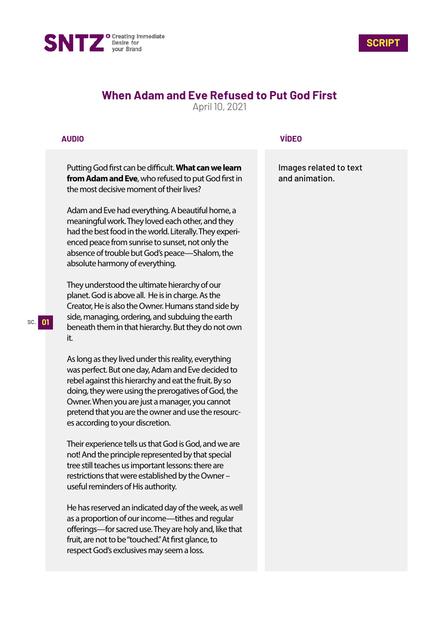



## **When Adam and Eve Refused to Put God First**

April 10, 2021

## **AUDIO**

Putting God first can be difficult. What can we learn **from Adam and Eve**, who refused to put God first in the most decisive moment of their lives?

Adam and Eve had everything. A beautiful home, a meaningful work. They loved each other, and they had the best food in the world. Literally. They experienced peace from sunrise to sunset, not only the absence of trouble but God's peace—Shalom, the absolute harmony of everything.

They understood the ultimate hierarchy of our planet. God is above all. He is in charge. As the Creator, He is also the Owner. Humans stand side by side, managing, ordering, and subduing the earth beneath them in that hierarchy. But they do not own it.

As long as they lived under this reality, everything was perfect. But one day, Adam and Eve decided to rebel against this hierarchy and eat the fruit. By so doing, they were using the prerogatives of God, the Owner. When you are just a manager, you cannot pretend that you are the owner and use the resources according to your discretion.

Their experience tells us that God is God, and we are not! And the principle represented by that special tree still teaches us important lessons: there are restrictions that were established by the Owner – useful reminders of His authority.

He has reserved an indicated day of the week, as well as a proportion of our income—tithes and regular offerings—for sacred use. They are holy and, like that fruit, are not to be "touched." At first glance, to respect God's exclusives may seem a loss.

## **VÍDEO**

Images related to text and animation.